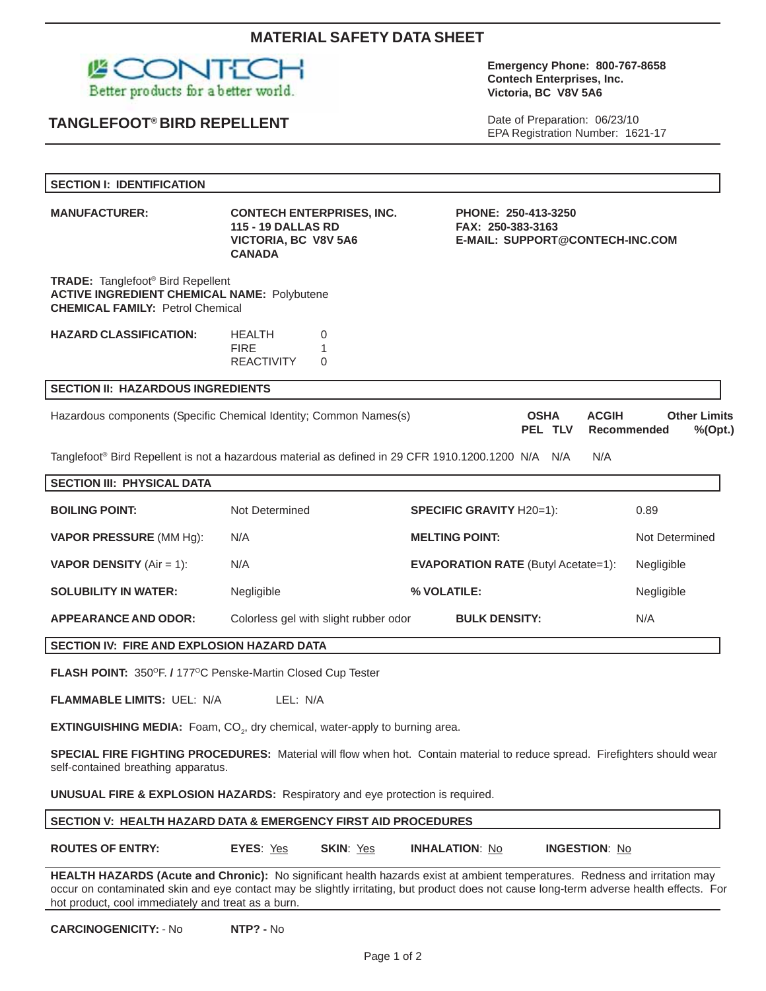# **MATERIAL SAFETY DATA SHEET**



# **TANGLEFOOT® BIRD REPELLENT**

#### **Emergency Phone: 800-767-8658 Contech Enterprises, Inc. Victoria, BC V8V 5A6**

Date of Preparation: 06/23/10 EPA Registration Number: 1621-17

| <b>SECTION I: IDENTIFICATION</b>                                                                                                                                                                                                                                                                                             |                                                                                                        |                                                                             |                                                      |  |  |  |
|------------------------------------------------------------------------------------------------------------------------------------------------------------------------------------------------------------------------------------------------------------------------------------------------------------------------------|--------------------------------------------------------------------------------------------------------|-----------------------------------------------------------------------------|------------------------------------------------------|--|--|--|
| <b>MANUFACTURER:</b>                                                                                                                                                                                                                                                                                                         | <b>CONTECH ENTERPRISES, INC.</b><br><b>115 - 19 DALLAS RD</b><br>VICTORIA, BC V8V 5A6<br><b>CANADA</b> | PHONE: 250-413-3250<br>FAX: 250-383-3163<br>E-MAIL: SUPPORT@CONTECH-INC.COM |                                                      |  |  |  |
| <b>TRADE:</b> Tanglefoot <sup>®</sup> Bird Repellent<br><b>ACTIVE INGREDIENT CHEMICAL NAME: Polybutene</b><br><b>CHEMICAL FAMILY: Petrol Chemical</b>                                                                                                                                                                        |                                                                                                        |                                                                             |                                                      |  |  |  |
| <b>HAZARD CLASSIFICATION:</b>                                                                                                                                                                                                                                                                                                | <b>HEALTH</b><br>0<br><b>FIRE</b><br>1<br><b>REACTIVITY</b><br>$\Omega$                                |                                                                             |                                                      |  |  |  |
| <b>SECTION II: HAZARDOUS INGREDIENTS</b>                                                                                                                                                                                                                                                                                     |                                                                                                        |                                                                             |                                                      |  |  |  |
|                                                                                                                                                                                                                                                                                                                              | Hazardous components (Specific Chemical Identity; Common Names(s)                                      | <b>OSHA</b><br><b>ACGIH</b><br>PEL TLV                                      | <b>Other Limits</b><br><b>Recommended</b><br>%(Opt.) |  |  |  |
| Tanglefoot® Bird Repellent is not a hazardous material as defined in 29 CFR 1910.1200.1200 N/A N/A<br>N/A                                                                                                                                                                                                                    |                                                                                                        |                                                                             |                                                      |  |  |  |
| <b>SECTION III: PHYSICAL DATA</b>                                                                                                                                                                                                                                                                                            |                                                                                                        |                                                                             |                                                      |  |  |  |
| <b>BOILING POINT:</b>                                                                                                                                                                                                                                                                                                        | Not Determined                                                                                         | <b>SPECIFIC GRAVITY H20=1):</b>                                             | 0.89                                                 |  |  |  |
| <b>VAPOR PRESSURE (MM Hg):</b>                                                                                                                                                                                                                                                                                               | N/A                                                                                                    | <b>MELTING POINT:</b>                                                       | Not Determined                                       |  |  |  |
| <b>VAPOR DENSITY</b> (Air = 1):                                                                                                                                                                                                                                                                                              | N/A                                                                                                    | <b>EVAPORATION RATE (Butyl Acetate=1):</b>                                  | Negligible                                           |  |  |  |
| <b>SOLUBILITY IN WATER:</b>                                                                                                                                                                                                                                                                                                  | Negligible                                                                                             | % VOLATILE:                                                                 | Negligible                                           |  |  |  |
| <b>APPEARANCE AND ODOR:</b>                                                                                                                                                                                                                                                                                                  | Colorless gel with slight rubber odor                                                                  | <b>BULK DENSITY:</b>                                                        | N/A                                                  |  |  |  |
| SECTION IV: FIRE AND EXPLOSION HAZARD DATA                                                                                                                                                                                                                                                                                   |                                                                                                        |                                                                             |                                                      |  |  |  |
| FLASH POINT: 350°F. / 177°C Penske-Martin Closed Cup Tester                                                                                                                                                                                                                                                                  |                                                                                                        |                                                                             |                                                      |  |  |  |
| <b>FLAMMABLE LIMITS: UEL: N/A</b><br>LEL: N/A                                                                                                                                                                                                                                                                                |                                                                                                        |                                                                             |                                                      |  |  |  |
| EXTINGUISHING MEDIA: Foam, CO <sub>2</sub> , dry chemical, water-apply to burning area.                                                                                                                                                                                                                                      |                                                                                                        |                                                                             |                                                      |  |  |  |
| SPECIAL FIRE FIGHTING PROCEDURES: Material will flow when hot. Contain material to reduce spread. Firefighters should wear<br>self-contained breathing apparatus.                                                                                                                                                            |                                                                                                        |                                                                             |                                                      |  |  |  |
| <b>UNUSUAL FIRE &amp; EXPLOSION HAZARDS:</b> Respiratory and eye protection is required.                                                                                                                                                                                                                                     |                                                                                                        |                                                                             |                                                      |  |  |  |
| SECTION V: HEALTH HAZARD DATA & EMERGENCY FIRST AID PROCEDURES                                                                                                                                                                                                                                                               |                                                                                                        |                                                                             |                                                      |  |  |  |
| <b>ROUTES OF ENTRY:</b>                                                                                                                                                                                                                                                                                                      | EYES: Yes<br>SKIN: Yes                                                                                 | <b>INHALATION: No</b><br><b>INGESTION: No</b>                               |                                                      |  |  |  |
| HEALTH HAZARDS (Acute and Chronic): No significant health hazards exist at ambient temperatures. Redness and irritation may<br>occur on contaminated skin and eye contact may be slightly irritating, but product does not cause long-term adverse health effects. For<br>hot product, cool immediately and treat as a burn. |                                                                                                        |                                                                             |                                                      |  |  |  |

**CARCINOGENICITY:** - No **NTP? -** No